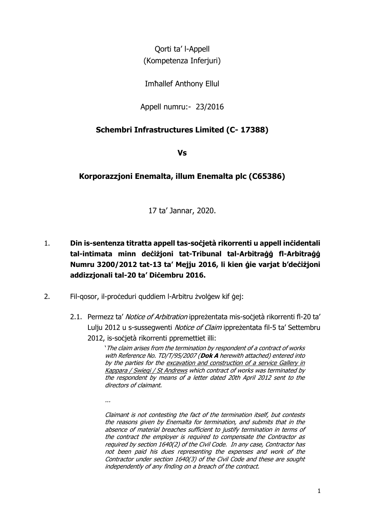Qorti ta' l-Appell (Kompetenza Inferjuri)

Imħallef Anthony Ellul

Appell numru:- 23/2016

## **Schembri Infrastructures Limited (C- 17388)**

**Vs**

## **Korporazzjoni Enemalta, illum Enemalta plc (C65386)**

17 ta' Jannar, 2020.

- 1. **Din is-sentenza titratta appell tas-soċjetà rikorrenti u appell inċidentali tal-intimata minn deċiżjoni tat-Tribunal tal-Arbitraġġ fl-Arbitraġġ Numru 3200/2012 tat-13 ta' Mejju 2016, li kien ġie varjat b'deċiżjoni addizzjonali tal-20 ta' Diċembru 2016.**
- 2. Fil-qosor, il-proceduri quddiem l-Arbitru żvolgew kif gej:
	- 2.1. Permezz ta' Notice of Arbitration ipprezentata mis-socjetà rikorrenti fl-20 ta' Lulju 2012 u s-sussegwenti Notice of Claim ipprezentata fil-5 ta' Settembru 2012, is-soċjetà rikorrenti ppremettiet illi:

'The claim arises from the termination by respondent of a contract of works with Reference No. TD/T/95/2007 (**Dok A** herewith attached) entered into by the parties for the excavation and construction of a service Gallery in Kappara / Swiegi / St Andrews which contract of works was terminated by the respondent by means of a letter dated 20th April 2012 sent to the directors of claimant.

...

Claimant is not contesting the fact of the termination itself, but contests the reasons given by Enemalta for termination, and submits that in the absence of material breaches sufficient to justify termination in terms of the contract the employer is required to compensate the Contractor as required by section 1640(2) of the Civil Code. In any case, Contractor has not been paid his dues representing the expenses and work of the Contractor under section 1640(3) of the Civil Code and these are sought independently of any finding on a breach of the contract.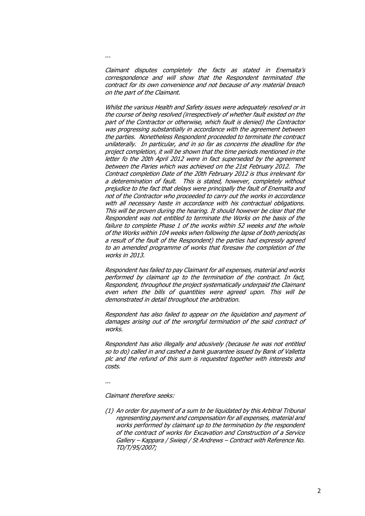Claimant disputes completely the facts as stated in Enemalta's correspondence and will show that the Respondent terminated the contract for its own convenience and not because of any material breach on the part of the Claimant.

Whilst the various Health and Safety issues were adequately resolved or in the course of being resolved (irrespectively of whether fault existed on the part of the Contractor or otherwise, which fault is denied) the Contractor was progressing substantially in accordance with the agreement between the parties. Nonetheless Respondent proceeded to terminate the contract unilaterally. In particular, and in so far as concerns the deadline for the project completion, it will be shown that the time periods mentioned in the letter fo the 20th April 2012 were in fact superseded by the agreement between the Paries which was achieved on the 21st February 2012. The Contract completion Date of the 20th February 2012 is thus irrelevant for a deteremination of fault. This is stated, however, completely without prejudice to the fact that delays were principally the fault of Enemalta and not of the Contractor who proceeded to carry out the works in accordance with all necessary haste in accordance with his contractual obligations. This will be proven during the hearing. It should however be clear that the Respondent was not entitled to terminate the Works on the basis of the failure to complete Phase 1 of the works within 52 weeks and the whole of the Works within 104 weeks when following the lapse of both periods(as a result of the fault of the Respondent) the parties had expressly agreed to an amended programme of works that foresaw the completion of the works in 2013.

Respondent has failed to pay Claimant for all expenses, material and works performed by claimant up to the termination of the contract. In fact, Respondent, throughout the project systematically underpaid the Claimant even when the bills of quantities were agreed upon. This will be demonstrated in detail throughout the arbitration.

Respondent has also failed to appear on the liquidation and payment of damages arising out of the wrongful termination of the said contract of works.

Respondent has also illegally and abusively (because he was not entitled so to do) called in and cashed a bank guarantee issued by Bank of Valletta plc and the refund of this sum is requested together with interests and costs.

...

...

Claimant therefore seeks:

(1) An order for payment of a sum to be liquidated by this Arbitral Tribunal representing payment and compensation for all expenses, material and works performed by claimant up to the termination by the respondent of the contract of works for Excavation and Construction of a Service Gallery – Kappara / Swieqi / St Andrews – Contract with Reference No. TD/T/95/2007;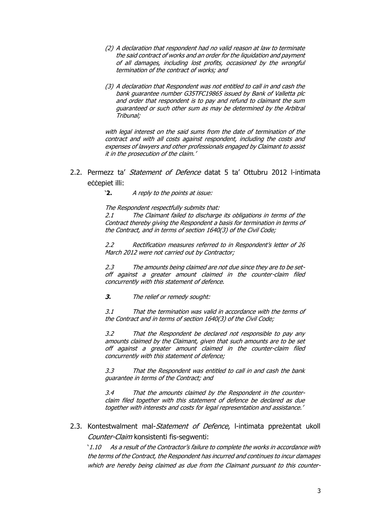- (2) A declaration that respondent had no valid reason at law to terminate the said contract of works and an order for the liquidation and payment of all damages, including lost profits, occasioned by the wrongful termination of the contract of works; and
- (3) A declaration that Respondent was not entitled to call in and cash the bank guarantee number G35TFC19865 issued by Bank of Valletta plc and order that respondent is to pay and refund to claimant the sum guaranteed or such other sum as may be determined by the Arbitral Tribunal;

with legal interest on the said sums from the date of termination of the contract and with all costs against respondent, including the costs and expenses of lawyers and other professionals engaged by Claimant to assist it in the prosecution of the claim.'

2.2. Permezz ta' *Statement of Defence* datat 5 ta' Ottubru 2012 l-intimata eċċepiet illi:

'**2.** A reply to the points at issue:

The Respondent respectfully submits that:

2.1 The Claimant failed to discharge its obligations in terms of the Contract thereby giving the Respondent a basis for termination in terms of the Contract, and in terms of section 1640(3) of the Civil Code;

2.2 Rectification measures referred to in Respondent's letter of 26 March 2012 were not carried out by Contractor;

2.3 The amounts being claimed are not due since they are to be setoff against a greater amount claimed in the counter-claim filed concurrently with this statement of defence.

**3.** The relief or remedy sought:

3.1 That the termination was valid in accordance with the terms of the Contract and in terms of section 1640(3) of the Civil Code;

3.2 That the Respondent be declared not responsible to pay any amounts claimed by the Claimant, given that such amounts are to be set off against a greater amount claimed in the counter-claim filed concurrently with this statement of defence;

3.3 That the Respondent was entitled to call in and cash the bank guarantee in terms of the Contract; and

3.4 That the amounts claimed by the Respondent in the counterclaim filed together with this statement of defence be declared as due together with interests and costs for legal representation and assistance.'

2.3. Kontestwalment mal-*Statement of Defence*, l-intimata ppreżentat ukoll Counter-Claim konsistenti fis-segwenti:

'1.10 As a result of the Contractor's failure to complete the works in accordance with the terms of the Contract, the Respondent has incurred and continues to incur damages which are hereby being claimed as due from the Claimant pursuant to this counter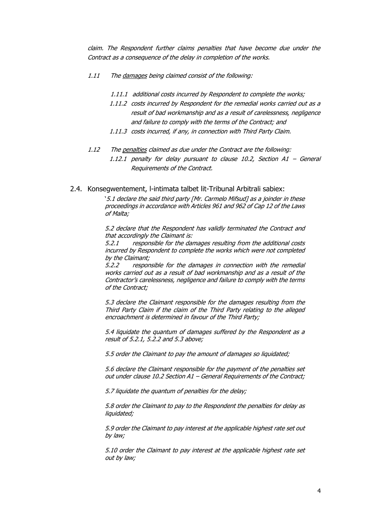claim. The Respondent further claims penalties that have become due under the Contract as a consequence of the delay in completion of the works.

- 1.11 The damages being claimed consist of the following:
	- 1.11.1 additional costs incurred by Respondent to complete the works;
	- 1.11.2 costs incurred by Respondent for the remedial works carried out as a result of bad workmanship and as a result of carelessness, negligence and failure to comply with the terms of the Contract; and
	- 1.11.3 costs incurred, if any, in connection with Third Party Claim.
- 1.12 The penalties claimed as due under the Contract are the following:
	- 1.12.1 penalty for delay pursuant to clause 10.2, Section A1 General Requirements of the Contract.
- 2.4. Konsegwentement, l-intimata talbet lit-Tribunal Arbitrali sabiex:

'5.1 declare the said third party [Mr. Carmelo Mifsud] as a joinder in these proceedings in accordance with Articles 961 and 962 of Cap 12 of the Laws of Malta;

5.2 declare that the Respondent has validly terminated the Contract and that accordingly the Claimant is:

5.2.1 responsible for the damages resulting from the additional costs incurred by Respondent to complete the works which were not completed by the Claimant;

5.2.2 responsible for the damages in connection with the remedial works carried out as a result of bad workmanship and as a result of the Contractor's carelessness, negligence and failure to comply with the terms of the Contract;

5.3 declare the Claimant responsible for the damages resulting from the Third Party Claim if the claim of the Third Party relating to the alleged encroachment is determined in favour of the Third Party;

5.4 liquidate the quantum of damages suffered by the Respondent as a result of 5.2.1, 5.2.2 and 5.3 above;

5.5 order the Claimant to pay the amount of damages so liquidated;

5.6 declare the Claimant responsible for the payment of the penalties set out under clause 10.2 Section A1 – General Requirements of the Contract;

5.7 liquidate the quantum of penalties for the delay;

5.8 order the Claimant to pay to the Respondent the penalties for delay as liquidated;

5.9 order the Claimant to pay interest at the applicable highest rate set out by law;

5.10 order the Claimant to pay interest at the applicable highest rate set out by law;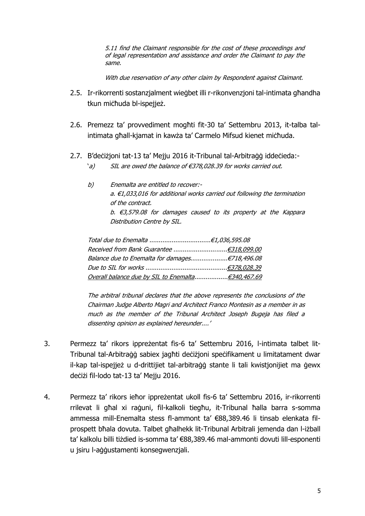5.11 find the Claimant responsible for the cost of these proceedings and of legal representation and assistance and order the Claimant to pay the same.

With due reservation of any other claim by Respondent against Claimant.

- 2.5. Ir-rikorrenti sostanzjalment wieġbet illi r-rikonvenzjoni tal-intimata għandha tkun miċħuda bl-ispejjeż.
- 2.6. Premezz ta' provvediment mogħti fit-30 ta' Settembru 2013, it-talba talintimata għall-kjamat in kawża ta' Carmelo Mifsud kienet miċħuda.
- 2.7. B'deċiżjoni tat-13 ta' Mejju 2016 it-Tribunal tal-Arbitraġġ iddeċieda:-
	- 'a) SIL are owed the balance of €378,028.39 for works carried out.
	- b) Enemalta are entitled to recover: a. €1,033,016 for additional works carried out following the termination of the contract. b. €3,579.08 for damages caused to its property at the Kappara Distribution Centre by SIL.

The arbitral tribunal declares that the above represents the conclusions of the Chairman Judge Alberto Magri and Architect Franco Montesin as a member in as much as the member of the Tribunal Architect Joseph Bugeja has filed a dissenting opinion as explained hereunder....'

- 3. Permezz ta' rikors ippreżentat fis-6 ta' Settembru 2016, l-intimata talbet lit-Tribunal tal-Arbitraġġ sabiex jagħti deċiżjoni speċifikament u limitatament dwar il-kap tal-ispejjeż u d-drittijiet tal-arbitraġġ stante li tali kwistjonijiet ma ġewx deċiżi fil-lodo tat-13 ta' Mejju 2016.
- 4. Permezz ta' rikors ieħor ippreżentat ukoll fis-6 ta' Settembru 2016, ir-rikorrenti rrilevat li għal xi raġuni, fil-kalkoli tiegħu, it-Tribunal ħalla barra s-somma ammessa mill-Enemalta stess fl-ammont ta' €88,389.46 li tinsab elenkata filprospett bħala dovuta. Talbet għalhekk lit-Tribunal Arbitrali jemenda dan l-iżball ta' kalkolu billi tiżdied is-somma ta' €88,389.46 mal-ammonti dovuti lill-esponenti u jsiru l-aġġustamenti konsegwenzjali.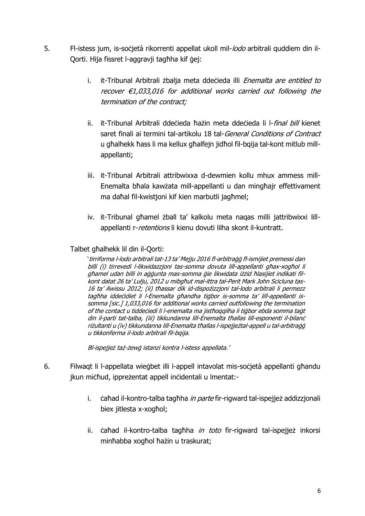- 5. Fl-istess jum, is-socjetà rikorrenti appellat ukoll mil-lodo arbitrali quddiem din il-Qorti. Hija fissret l-aggravji tagħha kif ġej:
	- i. it-Tribunal Arbitrali żbalja meta ddeċieda illi *Enemalta are entitled to* recover €1,033,016 for additional works carried out following the termination of the contract;
	- ii. it-Tribunal Arbitrali ddeċieda ħażin meta ddeċieda li l-*final bill* kienet saret finali ai termini tal-artikolu 18 tal-General Conditions of Contract u għalhekk ħass li ma kellux għalfejn jidħol fil-bqija tal-kont mitlub millappellanti;
	- iii. it-Tribunal Arbitrali attribwixxa d-dewmien kollu mhux ammess mill-Enemalta bħala kawżata mill-appellanti u dan mingħajr effettivament ma daħal fil-kwistjoni kif kien marbutli jagħmel;
	- iv. it-Tribunal għamel żball ta' kalkolu meta naqas milli jattribwixxi lillappellanti r-retentions li kienu dovuti lilha skont il-kuntratt.

## Talbet għalhekk lil din il-Qorti:

'tirriforma l-lodo arbitrali tat-13 ta' Mejju 2016 fl-arbitraġġ fl-ismijiet premessi dan billi (i) tirrevedi l-likwidazzjoni tas-somma dovuta lill-appellanti għax-xogħol li għamel udan billi in aġġunta mas-somma ġie likwidata iżżid ħlasijiet indikati filkont datat 26 ta' Lulju, 2012 u mibgħut mal-ittra tal-Perit Mark John Scicluna tas-16 ta' Awissu 2012; (ii) tħassar dik id-dispożizzjoni tal-lodo arbitrali li permezz tagħha iddeċidiet li l-Enemalta għandha tiġbor is-somma ta' lill-appellanti issomma [sic.] 1,033,016 for additional works carried outfollowing the termination of the contact u tiddeċiedi li l-enemalta ma jistħoqqilha li tiġbor ebda somma taġt din il-parti tat-talba, (iii) tikkundanna lill-Enemalta tħallas lill-esponenti il-bilanċ riżultanti u (iv) tikkundanna lill-Enemalta tħallas l-ispejjeżtal-appell u tal-arbitraġġ u tikkonferma il-lodo arbitrali fil-bqija.

Bl-ispejjeż taż-żewġ istanzi kontra l-istess appellata.'

- 6. Filwaqt li l-appellata wieġbet illi l-appell intavolat mis-soċjetà appellanti għandu jkun miċħud, ippreżentat appell inċidentali u lmentat:
	- i. caħad il-kontro-talba tagħha in parte fir-rigward tal-ispejjeż addizzjonali biex jitlesta x-xogħol;
	- ii. cahad il-kontro-talba taghha in toto fir-rigward tal-ispejjeż inkorsi minħabba xogħol ħażin u traskurat;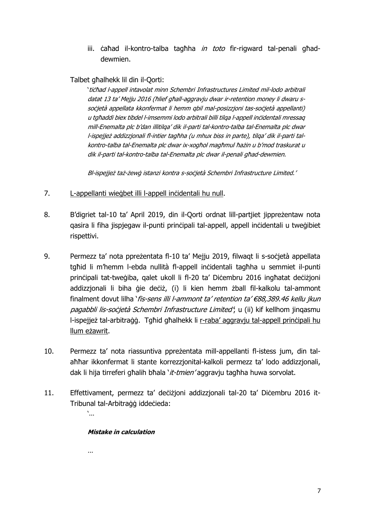iii. cahad il-kontro-talba taghha in toto fir-rigward tal-penali ghaddewmien.

Talbet għalhekk lil din il-Qorti:

'tiċħad l-appell intavolat minn Schembri Infrastructures Limited mil-lodo arbitrali datat 13 ta' Mejju 2016 (ħlief għall-aggravju dwar ir-retention money li dwaru ssoċjetà appellata kkonfermat li hemm qbil mal-posizzjoni tas-soċjetà appellanti) u tgħaddi biex tibdel l-imsemmi lodo arbitrali billi tilqa l-appell inċidentali mressaq mill-Enemalta plc b'dan illitilqa' dik il-parti tal-kontro-talba tal-Enemalta plc dwar l-ispejjeż addizzjonali fl-intier tagħha (u mhux biss in parte), tilqa' dik il-parti talkontro-talba tal-Enemalta plc dwar ix-xogħol magħmul ħażin u b'mod traskurat u dik il-parti tal-kontro-talba tal-Enemalta plc dwar il-penali għad-dewmien.

Bl-ispejjeż taż-żewą istanzi kontra s-socjetà Schembri Infrastructure Limited.'

- 7. L-appellanti wieġbet illi l-appell inċidentali hu null.
- 8. B'digriet tal-10 ta' April 2019, din il-Qorti ordnat lill-partjiet jippreżentaw nota qasira li fiha jispjegaw il-punti prinċipali tal-appell, appell inċidentali u tweġibiet rispettivi.
- 9. Permezz ta' nota ppreżentata fl-10 ta' Mejju 2019, filwaqt li s-soċjetà appellata tgħid li m'hemm l-ebda nullità fl-appell inċidentali tagħha u semmiet il-punti prinċipali tat-tweġiba, qalet ukoll li fl-20 ta' Diċembru 2016 ingħatat deċiżjoni addizzjonali li biha ġie deċiż, (i) li kien hemm żball fil-kalkolu tal-ammont finalment dovut lilha 'fis-sens illi l-ammont ta' retention ta' €88,389.46 kellu jkun pagabbli lis-socjetà Schembri Infrastructure Limited', u (ii) kif kellhom jingasmu l-ispejjeż tal-arbitraġġ. Tgħid għalhekk li r-raba' aggravju tal-appell prinċipali hu llum eżawrit.
- 10. Permezz ta' nota riassuntiva ppreżentata mill-appellanti fl-istess jum, din talaħħar ikkonfermat li stante korrezzjonital-kalkoli permezz ta' lodo addizzjonali, dak li hija tirreferi għalih bħala 'it-tmien' aggraviu tagħha huwa sorvolat.
- 11. Effettivament, permezz ta' deċiżjoni addizzjonali tal-20 ta' Diċembru 2016 it-Tribunal tal-Arbitraġġ iddeċieda:

'...

## **Mistake in calculation**

...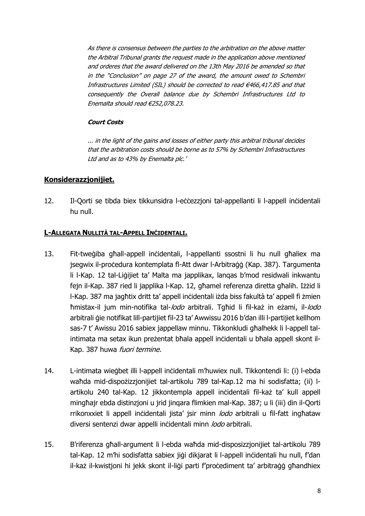As there is consensus between the parties to the arbitration on the above matter the Arbitral Tribunal grants the request made in the application above mentioned and orderes that the award delivered on the 13th May 2016 be amended so that in the "Conclusion" on page 27 of the award, the amount owed to Schembri Infrastructures Limited (SIL) should be corrected to read €466,417.85 and that consequently the Overall balance due by Schembri Infrastructures Ltd to Enemalta should read €252,078.23.

#### **Court Costs**

... in the light of the gains and losses of either party this arbitral tribunal decides that the arbitration costs should be borne as to 57% by Schembri Infrastructures Ltd and as to 43% by Enemalta plc.'

## **Konsiderazzjonijiet.**

12. Il-Qorti se tibda biex tikkunsidra l-eċċezzjoni tal-appellanti li l-appell inċidentali hu null.

### **L-ALLEGATA NULLITÀ TAL-APPELL INĊIDENTALI.**

- 13. Fit-tweġiba għall-appell inċidentali, l-appellanti ssostni li hu null għaliex ma jsegwix il-proċedura kontemplata fl-Att dwar l-Arbitraġġ (Kap. 387). Targumenta li l-Kap. 12 tal-Liġijiet ta' Malta ma japplikax, lanqas b'mod residwali inkwantu fejn il-Kap. 387 ried li japplika l-Kap. 12, għamel referenza diretta għalih. Iżżid li l-Kap. 387 ma jagħtix dritt ta' appell inċidentali iżda biss fakultà ta' appell fi żmien ħmistax-il jum min-notifika tal-lodo arbitrali. Tgħid li fil-każ in eżami, il-lodo arbitrali ġie notifikat lill-partijiet fil-23 ta' Awwissu 2016 b'dan illi l-partijiet kellhom sas-7 t' Awissu 2016 sabiex jappellaw minnu. Tikkonkludi għalhekk li l-appell talintimata ma setax ikun preżentat bħala appell inċidentali u bħala appell skont il-Kap. 387 huwa fuori termine.
- 14. L-intimata wieġbet illi l-appell inċidentali m'huwiex null. Tikkontendi li: (i) l-ebda waħda mid-dispożizzjonijiet tal-artikolu 789 tal-Kap.12 ma hi sodisfatta; (ii) lartikolu 240 tal-Kap. 12 jikkontempla appell inċidentali fil-każ ta' kull appell mingħajr ebda distinzjoni u jrid jinqara flimkien mal-Kap. 387; u li (iii) din il-Qorti rrikonxxiet li appell inċidentali jista' jsir minn lodo arbitrali u fil-fatt ingħataw diversi sentenzi dwar appelli inċidentali minn lodo arbitrali.
- 15. B'riferenza għall-argument li l-ebda waħda mid-disposizzjonijiet tal-artikolu 789 tal-Kap. 12 m'hi sodisfatta sabiex jiġi dikjarat li l-appell inċidentali hu null, f'dan il-każ il-kwistioni hi jekk skont il-liġi parti f'proċediment ta' arbitraġġ għandhiex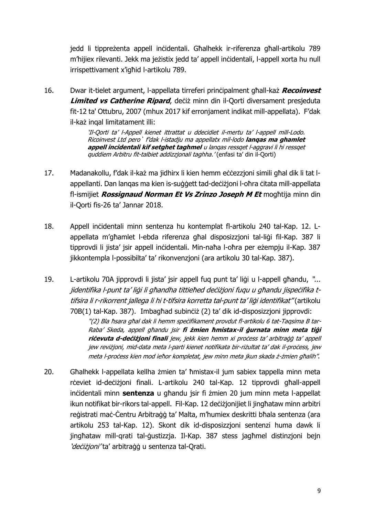jedd li tippreżenta appell inċidentali. Għalhekk ir-riferenza għall-artikolu 789 m'hijiex rilevanti. Jekk ma jeżistix jedd ta' appell inċidentali, l-appell xorta hu null irrispettivament x'igħid l-artikolu 789.

16. Dwar it-tielet argument, l-appellata tirreferi prinċipalment għall-każ **Recoinvest Limited vs Catherine Ripard**, deċiż minn din il-Qorti diversament presjeduta fit-12 ta' Ottubru, 2007 (mhux 2017 kif erronjament indikat mill-appellata). F'dak il-każ inqal limitatament illi:

> 'Il-Qorti ta' l-Appell kienet ittrattat u ddecidiet il-mertu ta' l-appell mill-Lodo. Ricoinvest Ltd pero` f'dak l-istadju ma appellatx mil-lodo **lanqas ma ghamlet appell incidentali kif setghet taghmel** u lanqas ressqet l-aggravi li hi ressqet quddiem Arbitru fit-talbiet addizzjonali taghha.' (enfasi ta' din il-Qorti)

- 17. Madanakollu, f'dak il-każ ma jidhirx li kien hemm eċċezzioni simili għal dik li tat lappellanti. Dan lanqas ma kien is-suġġett tad-deċiżjoni l-oħra ċitata mill-appellata fl-ismijiet *Rossignaud Norman Et Vs Zrinzo Joseph M Et* mogħtija minn din il-Qorti fis-26 ta' Jannar 2018.
- 18. Appell inċidentali minn sentenza hu kontemplat fl-artikolu 240 tal-Kap. 12. Lappellata m'għamlet l-ebda riferenza għal disposizzjoni tal-liġi fil-Kap. 387 li tipprovdi li jista' jsir appell inċidentali. Min-naħa l-oħra per eżempju il-Kap. 387 jikkontempla l-possibilta' ta' rikonvenzjoni (ara artikolu 30 tal-Kap. 387).
- 19. L-artikolu 70A jipprovdi li jista' jsir appell fuq punt ta' ligi u l-appell għandu, "... jidentifika l-punt ta' liġi li għandha tittieħed deċiżjoni fuqu u għandu jispeċifika ttifsira li r-rikorrent jallega li hi t-tifsira korretta tal-punt ta' ligi identifikat" (artikolu 70B(1) tal-Kap. 387). Imbagħad subinċiż (2) ta' dik id-disposizzjoni jipprovdi:

"(2) Bla ħsara għal dak li hemm speċifikament provdut fl-artikolu 6 tat-Taqsima B tar-Raba' Skeda, appell għandu jsir **fi żmien ħmistax-il ġurnata minn meta tiġi riċevuta d-deċiżjoni finali** jew, jekk kien hemm xi proċess ta' arbitraġġ ta' appell jew reviżjoni, mid-data meta l-parti kienet notifikata bir-riżultat ta' dak il-proċess, jew meta l-proċess kien mod ieħor kompletat, jew minn meta jkun skada ż-żmien għalih".

20. Għalhekk l-appellata kellha żmien ta' ħmistax-il jum sabiex tappella minn meta rceviet id-deciżjoni finali. L-artikolu 240 tal-Kap. 12 tipprovdi għall-appell inċidentali minn **sentenza** u għandu jsir fi żmien 20 jum minn meta l-appellat ikun notifikat bir-rikors tal-appell. Fil-Kap. 12 deċiżjonijiet li jingħataw minn arbitri reġistrati maċ-Ċentru Arbitraġġ ta' Malta, m'humiex deskritti bħala sentenza (ara artikolu 253 tal-Kap. 12). Skont dik id-disposizzjoni sentenzi huma dawk li jingħataw mill-qrati tal-ġustizzja. Il-Kap. 387 stess jagħmel distinzjoni bejn 'deċiżjoni' ta' arbitraġġ u sentenza tal-Orati.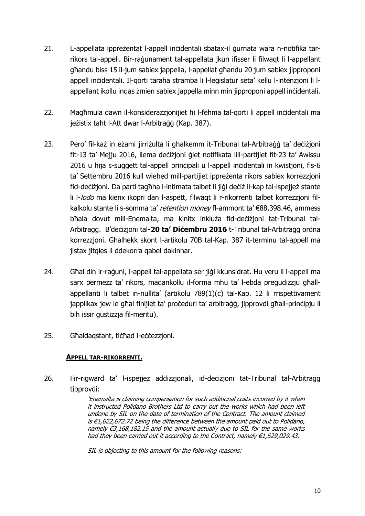- 21. L-appellata ippreżentat l-appell inċidentali sbatax-il ġurnata wara n-notifika tarrikors tal-appell. Bir-raġunament tal-appellata jkun ifisser li filwaqt li l-appellant għandu biss 15 il-jum sabiex jappella, l-appellat għandu 20 jum sabiex jipproponi appell inċidentali. Il-qorti taraha stramba li l-leġislatur seta' kellu l-intenzjoni li lappellant ikollu inqas żmien sabiex jappella minn min jipproponi appell inċidentali.
- 22. Magħmula dawn il-konsiderazzjonijiet hi l-fehma tal-qorti li appell inċidentali ma jeżistix taħt l-Att dwar l-Arbitraġġ (Kap. 387).
- 23. Pero' fil-każ in eżami jirriżulta li għalkemm it-Tribunal tal-Arbitraġġ ta' deċiżjoni fit-13 ta' Mejju 2016, liema deċiżjoni ġiet notifikata lill-partijiet fit-23 ta' Awissu 2016 u hija s-suġġett tal-appell prinċipali u l-appell inċidentali in kwistjoni, fis-6 ta' Settembru 2016 kull wieħed mill-partijiet ippreżenta rikors sabiex korrezzjoni fid-deċiżjoni. Da parti tagħha l-intimata talbet li jiġi deċiż il-kap tal-ispejjeż stante li l-lodo ma kienx ikopri dan l-aspett, filwaqt li r-rikorrenti talbet korrezzjoni filkalkolu stante li s-somma ta' retention money fl-ammont ta' €88,398.46, ammess bħala dovut mill-Enemalta, ma kinitx inkluża fid-deċiżjoni tat-Tribunal tal-Arbitraġġ. B'deċiżjoni tal**-20 ta' Diċembru 2016** t-Tribunal tal-Arbitraġġ ordna korrezzjoni. Għalhekk skont l-artikolu 70B tal-Kap. 387 it-terminu tal-appell ma jistax jitqies li ddekorra qabel dakinhar.
- 24. Għal din ir-raġuni, l-appell tal-appellata ser jiġi kkunsidrat. Hu veru li l-appell ma sarx permezz ta' rikors, madankollu il-forma mhu ta' l-ebda preġudizzju għallappellanti li talbet in-nullita' (artikolu 789(1)(c) tal-Kap. 12 li rrispettivament japplikax jew le għal finijiet ta' proċeduri ta' arbitraġġ, jipprovdi għall-prinċipju li bih issir ġustizzja fil-meritu).
- 25. Għaldaqstant, ticħad l-eċċezzjoni.

#### **APPELL TAR-RIKORRENTI.**

26. Fir-rigward ta' l-ispejjeż addizzjonali, id-deċiżjoni tat-Tribunal tal-Arbitraġġ tipprovdi:

> 'Enemalta is claiming compensation for such additional costs incurred by it when it instructed Polidano Brothers Ltd to carry out the works which had been left undone by SIL on the date of termination of the Contract. The amount claimed is €1,622,672.72 being the difference between the amount paid out to Polidano, namely €3,168,182.15 and the amount actually due to SIL for the same works had they been carried out it according to the Contract, namely €1,629,029.43.

SIL is objecting to this amount for the following reasons: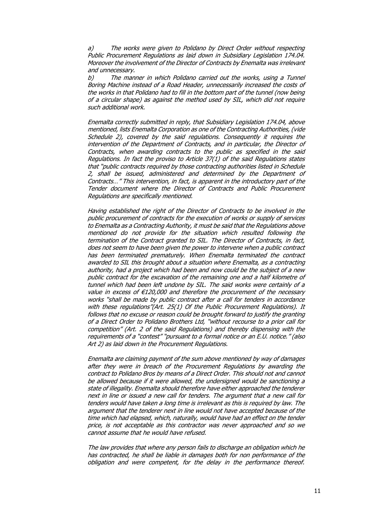a) The works were given to Polidano by Direct Order without respecting Public Procurement Regulations as laid down in Subsidiary Legislation 174.04. Moreover the involvement of the Director of Contracts by Enemalta was irrelevant and unnecessary.

b) The manner in which Polidano carried out the works, using a Tunnel Boring Machine instead of a Road Header, unnecessarily increased the costs of the works in that Polidano had to fill in the bottom part of the tunnel (now being of a circular shape) as against the method used by SIL, which did not require such additional work.

Enemalta correctly submitted in reply, that Subsidiary Legislation 174.04, above mentioned, lists Enemalta Corporation as one of the Contracting Authorities, (vide Schedule 2), covered by the said regulations. Consequently it requires the intervention of the Department of Contracts, and in particular, the Director of Contracts, when awarding contracts to the public as specified in the said Regulations. In fact the proviso to Article 37(1) of the said Regulations states that "public contracts required by those contracting authorities listed in Schedule 2, shall be issued, administered and determined by the Department of Contracts…" This intervention, in fact, is apparent in the introductory part of the Tender document where the Director of Contracts and Public Procurement Regulations are specifically mentioned.

Having established the right of the Director of Contracts to be involved in the public procurement of contracts for the execution of works or supply of services to Enemalta as a Contracting Authority, it must be said that the Regulations above mentioned do not provide for the situation which resulted following the termination of the Contract granted to SIL. The Director of Contracts, in fact, does not seem to have been given the power to intervene when a public contract has been terminated prematurely. When Enemalta terminated the contract awarded to SIL this brought about a situation where Enemalta, as a contracting authority, had a project which had been and now could be the subject of a new public contract for the excavation of the remaining one and a half kilometre of tunnel which had been left undone by SIL. The said works were certainly of a value in excess of  $E120,000$  and therefore the procurement of the necessary works "shall be made by public contract after a call for tenders in accordance with these regulations"(Art. 25(1) Of the Public Procurement Regulations). It follows that no excuse or reason could be brought forward to justify the granting of a Direct Order to Polidano Brothers Ltd, "without recourse to a prior call for competition" (Art. 2 of the said Regulations) and thereby dispensing with the requirements of a "contest" "pursuant to a formal notice or an E.U. notice." (also Art 2) as laid down in the Procurement Regulations.

Enemalta are claiming payment of the sum above mentioned by way of damages after they were in breach of the Procurement Regulations by awarding the contract to Polidano Bros by means of a Direct Order. This should not and cannot be allowed because if it were allowed, the undersigned would be sanctioning a state of illegality. Enemalta should therefore have either approached the tenderer next in line or issued a new call for tenders. The argument that a new call for tenders would have taken a long time is irrelevant as this is required by law. The argument that the tenderer next in line would not have accepted because of the time which had elapsed, which, naturally, would have had an effect on the tender price, is not acceptable as this contractor was never approached and so we cannot assume that he would have refused.

The law provides that where any person fails to discharge an obligation which he has contracted, he shall be liable in damages both for non performance of the obligation and were competent, for the delay in the performance thereof.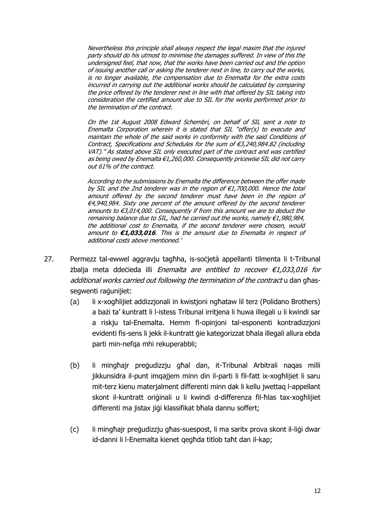Nevertheless this principle shall always respect the legal maxim that the injured party should do his utmost to minimise the damages suffered. In view of this the undersigned feel, that now, that the works have been carried out and the option of issuing another call or asking the tenderer next in line, to carry out the works, is no longer available, the compensation due to Enemalta for the extra costs incurred in carrying out the additional works should be calculated by comparing the price offered by the tenderer next in line with that offered by SIL taking into consideration the certified amount due to SIL for the works performed prior to the termination of the contract.

On the 1st August 2008 Edward Schembri, on behalf of SIL sent a note to Enemalta Corporation wherein it is stated that SIL "offer(s) to execute and maintain the whole of the said works in conformity with the said Conditions of Contract, Specifications and Schedules for the sum of €3,240,984.82 (including VAT)." As stated above SIL only executed part of the contract and was certified as being owed by Enemalta €1,260,000. Consequently pricewise SIL did not carry out 61% of the contract.

According to the submissions by Enemalta the difference between the offer made by SIL and the 2nd tenderer was in the region of  $\epsilon$ 1,700,000. Hence the total amount offered by the second tenderer must have been in the region of €4,940,984. Sixty one percent of the amount offered by the second tenderer amounts to  $\epsilon$ 3,014,000. Consequently if from this amount we are to deduct the remaining balance due to SIL, had he carried out the works, namely €1,980,984, the additional cost to Enemalta, if the second tenderer were chosen, would amount to **€1,033,016**. This is the amount due to Enemalta in respect of additional costs above mentioned.'

- 27. Permezz tal-ewwel aggravju tagħha, is-soċjetà appellanti tilmenta li t-Tribunal żbalja meta ddeċieda illi Enemalta are entitled to recover  $\epsilon$ 1,033,016 for additional works carried out following the termination of the contract u dan ghassegwenti raġunijiet:
	- (a) li x-xogħlijiet addizzjonali in kwistjoni ngħataw lil terz (Polidano Brothers) a bażi ta' kuntratt li l-istess Tribunal irritjena li huwa illegali u li kwindi sar a riskju tal-Enemalta. Hemm fl-opinjoni tal-esponenti kontradizzjoni evidenti fis-sens li jekk il-kuntratt gie kategorizzat bħala illegali allura ebda parti min-nefqa mhi rekuperabbli;
	- (b) li mingħajr preġudizzju għal dan, it-Tribunal Arbitrali naqas milli jikkunsidra il-punt imqajjem minn din il-parti li fil-fatt ix-xogħlijiet li saru mit-terz kienu materjalment differenti minn dak li kellu jwettaq l-appellant skont il-kuntratt oriġinali u li kwindi d-differenza fil-ħlas tax-xogħlijiet differenti ma jistax jiġi klassifikat bħala dannu soffert;
	- (c) li mingħajr preġudizzju għas-suespost, li ma saritx prova skont il-liġi dwar id-danni li l-Enemalta kienet qegħda titlob taħt dan il-kap;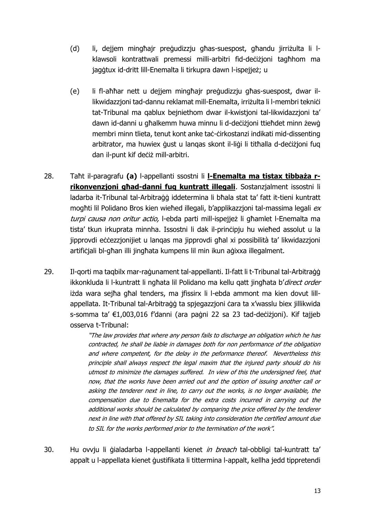- (d) li, dejjem mingħajr preġudizzju għas-suespost, għandu jirriżulta li lklawsoli kontrattwali premessi milli-arbitri fid-deċiżjoni tagħhom ma jagġtux id-dritt lill-Enemalta li tirkupra dawn l-ispejjeż; u
- (e) li fl-aħħar nett u dejjem mingħajr preġudizzju għas-suespost, dwar illikwidazzjoni tad-dannu reklamat mill-Enemalta, irriżulta li l-membri teknići tat-Tribunal ma qablux beiniethom dwar il-kwistioni tal-likwidazzioni ta' dawn id-danni u għalkemm huwa minnu li d-deċiżjoni ttieħdet minn żewġ membri minn tlieta, tenut kont anke taċ-ċirkostanzi indikati mid-dissenting arbitrator, ma huwiex ġust u lanqas skont il-liġi li titħalla d-deċiżjoni fuq dan il-punt kif deċiż mill-arbitri.
- 28. Taħt il-paragrafu **(a)** l-appellanti ssostni li **l-Enemalta ma tistax tibbaża rrikonvenzjoni għad-danni fuq kuntratt illegali**. Sostanzjalment issostni li ladarba it-Tribunal tal-Arbitraġġ iddetermina li bħala stat ta' fatt it-tieni kuntratt mogħti lil Polidano Bros kien wieħed illegali, b'applikazzjoni tal-massima legali ex turpi causa non oritur actio, l-ebda parti mill-ispejjeż li għamlet l-Enemalta ma tista' tkun irkuprata minnha. Issostni li dak il-prinċipju hu wieħed assolut u la jipprovdi eċċezzjonijiet u lanqas ma jipprovdi għal xi possibilità ta' likwidazzjoni artifiċjali bl-għan illi jingħata kumpens lil min ikun aġixxa illegalment.
- 29. Il-gorti ma taqbilx mar-raġunament tal-appellanti. Il-fatt li t-Tribunal tal-Arbitraġġ ikkonkluda li l-kuntratt li ngħata lil Polidano ma kellu qatt jingħata b'direct order iżda wara sejħa għal tenders, ma jfissirx li l-ebda ammont ma kien dovut lillappellata. It-Tribunal tal-Arbitraġġ ta spjegazzjoni ċara ta x'wasslu biex jillikwida s-somma ta' €1,003,016 f'danni (ara paġni 22 sa 23 tad-deċiżjoni). Kif tajjeb osserva t-Tribunal:

"The law provides that where any person fails to discharge an obligation which he has contracted, he shall be liable in damages both for non performance of the obligation and where competent, for the delay in the peformance thereof. Nevertheless this principle shall always respect the legal maxim that the injured party should do his utmost to minimize the damages suffered. In view of this the undersigned feel, that now, that the works have been arried out and the option of issuing another call or asking the tenderer next in line, to carry out the works, is no longer available, the compensation due to Enemalta for the extra costs incurred in carrying out the additional works should be calculated by comparing the price offered by the tenderer next in line with that offered by SIL taking into consideration the certified amount due to SIL for the works performed prior to the termination of the work".

30. Hu ovvju li gialadarba l-appellanti kienet in breach tal-obbligi tal-kuntratt ta' appalt u l-appellata kienet ġustifikata li tittermina l-appalt, kellha jedd tippretendi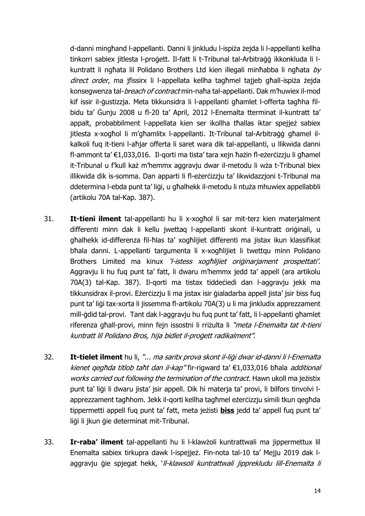d-danni mingħand l-appellanti. Danni li jinkludu l-ispiża żejda li l-appellanti kellha tinkorri sabiex jitlesta l-proġett. Il-fatt li t-Tribunal tal-Arbitraġġ ikkonkluda li lkuntratt li ngħata lil Polidano Brothers Ltd kien illegali minħabba li ngħata by direct order, ma jfissirx li l-appellata kellha tagħmel tajjeb għall-ispiża żejda konsegwenza tal-breach of contract min-naħa tal-appellanti. Dak m'huwiex il-mod kif issir il-ġustizzja. Meta tikkunsidra li l-appellanti għamlet l-offerta tagħha filbidu ta' Ġunju 2008 u fl-20 ta' April, 2012 l-Enemalta tterminat il-kuntratt ta' appalt, probabbilment l-appellata kien ser ikollha tħallas iktar spejjeż sabiex jitlesta x-xogħol li m'għamlitx l-appellanti. It-Tribunal tal-Arbitraġġ għamel ilkalkoli fuq it-tieni l-aħjar offerta li saret wara dik tal-appellanti, u llikwida danni fl-ammont ta' €1,033,016. Il-qorti ma tista' tara xejn ħażin fl-eżerċizzju li għamel it-Tribunal u f'kull każ m'hemmx aggravju dwar il-metodu li wża t-Tribunal biex illikwida dik is-somma. Dan apparti li fl-eżerċizzju ta' likwidazzjoni t-Tribunal ma ddetermina l-ebda punt ta' liġi, u għalhekk il-metodu li ntuża mhuwiex appellabbli (artikolu 70A tal-Kap. 387).

- 31. **It-tieni ilment** tal-appellanti hu li x-xogħol li sar mit-terz kien materjalment differenti minn dak li kellu jwettaq l-appellanti skont il-kuntratt oriġinali, u għalhekk id-differenza fil-ħlas ta' xogħlijiet differenti ma jistax ikun klassifikat bħala danni. L-appellanti targumenta li x-xogħlijiet li twettqu minn Polidano Brothers Limited ma kinux 'l-istess xoghlijiet originarjament prospettati'. Aggravju li hu fuq punt ta' fatt, li dwaru m'hemmx jedd ta' appell (ara artikolu 70A(3) tal-Kap. 387). Il-qorti ma tistax tiddeċiedi dan l-aggravju jekk ma tikkunsidrax il-provi. Eżerċizzju li ma jistax isir ġialadarba appell jista' jsir biss fug punt ta' liġi tax-xorta li jissemma fl-artikolu 70A(3) u li ma jinkludix apprezzament mill-ġdid tal-provi. Tant dak l-aggravju hu fuq punt ta' fatt, li l-appellanti għamlet riferenza għall-provi, minn fejn issostni li rriżulta li "*meta l-Enemalta tat it-tieni* kuntratt lil Polidano Bros, hija bidlet il-proġett radikalment".
- 32. **It-tielet ilment** hu li, "... ma saritx prova skont il-liġi dwar id-danni li l-Enemalta kienet gegħda titlob taħt dan il-kap" fir-rigward ta' €1,033,016 bħala additional works carried out following the termination of the contract. Hawn ukoll ma jeżistix punt ta' liġi li dwaru jista' jsir appell. Dik hi materja ta' provi, li bilfors tinvolvi lapprezzament tagħhom. Jekk il-qorti kellha tagħmel eżerċizzju simili tkun qegħda tippermetti appell fuq punt ta' fatt, meta jeżisti **biss** jedd ta' appell fuq punt ta' liġi li jkun ġie determinat mit-Tribunal.
- 33. **Ir-raba' ilment** tal-appellanti hu li l-klawżoli kuntrattwali ma jippermettux lil Enemalta sabiex tirkupra dawk l-ispejjeż. Fin-nota tal-10 ta' Mejju 2019 dak laggravju ģie spjegat hekk, 'll-klawsoli kuntrattwali jipprekludu lill-Enemalta li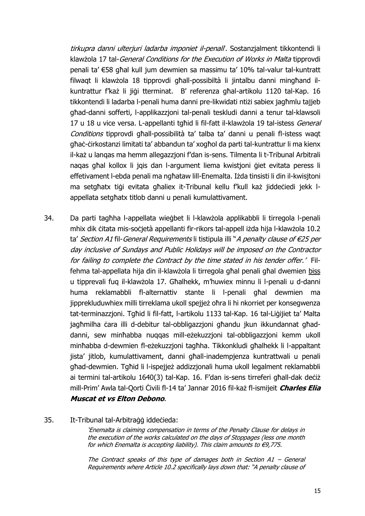tirkupra danni ulterjuri ladarba imponiet il-penall. Sostanzjalment tikkontendi li klawżola 17 tal-General Conditions for the Execution of Works in Malta tipprovdi penali ta' €58 għal kull jum dewmien sa massimu ta' 10% tal-valur tal-kuntratt filwaqt li klawżola 18 tipprovdi għall-possibiltà li jintalbu danni mingħand ilkuntrattur f'każ li jiġi tterminat. B' referenza għal-artikolu 1120 tal-Kap. 16 tikkontendi li ladarba l-penali huma danni pre-likwidati ntiżi sabiex jagħmlu tajjeb għad-danni sofferti, l-applikazzjoni tal-penali teskludi danni a tenur tal-klawsoli 17 u 18 u vice versa. L-appellanti tgħid li fil-fatt il-klawżola 19 tal-istess General Conditions tipprovdi għall-possibilità ta' talba ta' danni u penali fl-istess wagt għaċ-ċirkostanzi limitati ta' abbandun ta' xogħol da parti tal-kuntrattur li ma kienx il-każ u lanqas ma hemm allegazzjoni f'dan is-sens. Tilmenta li t-Tribunal Arbitrali naqas għal kollox li jqis dan l-argument liema kwistjoni ġiet evitata peress li effetivament l-ebda penali ma ngħataw lill-Enemalta. Iżda tinsisti li din il-kwisjtoni ma setgħatx tiġi evitata għaliex it-Tribunal kellu f'kull każ jiddeċiedi jekk lappellata setgħatx titlob danni u penali kumulattivament.

- 34. Da parti tagħha l-appellata wieġbet li l-klawżola applikabbli li tirregola l-penali mhix dik ċitata mis-soċjetà appellanti fir-rikors tal-appell iżda hija l-klawżola 10.2 ta' Section A1 fil-General Requirements li tistipula illi "A penalty clause of €25 per day inclusive of Sundays and Public Holidays will be imposed on the Contractor for failing to complete the Contract by the time stated in his tender offer.' Filfehma tal-appellata hija din il-klawżola li tirregola għal penali għal dwemien biss u tipprevali fuq il-klawżola 17. Għalhekk, m'huwiex minnu li l-penali u d-danni huma reklamabbli fl-alternattiv stante li l-penali għal dewmien ma jipprekluduwhiex milli tirreklama ukoll spejjeż oħra li hi nkorriet per konsegwenza tat-terminazzjoni. Tgħid li fil-fatt, l-artikolu 1133 tal-Kap. 16 tal-Liġijiet ta' Malta jagħmilha ċara illi d-debitur tal-obbligazzjoni għandu jkun ikkundannat għaddanni, sew minħabba nuqqas mill-eżekuzzjoni tal-obbligazzjoni kemm ukoll minħabba d-dewmien fl-eżekuzzjoni tagħha. Tikkonkludi għalhekk li l-appaltant jista' jitlob, kumulattivament, danni għall-inadempjenza kuntrattwali u penali għad-dewmien. Tgħid li l-ispejjeż addizzjonali huma ukoll legalment reklamabbli ai termini tal-artikolu 1640(3) tal-Kap. 16. F'dan is-sens tirreferi għall-dak deċiż mill-Prim' Awla tal-Qorti Ċivili fl-14 ta' Jannar 2016 fil-każ fl-ismijeit **Charles Elia Muscat et vs Elton Debono**.
- 35. It-Tribunal tal-Arbitraġġ iddeċieda:

'Enemalta is claiming compensation in terms of the Penalty Clause for delays in the execution of the works calculated on the days of Stoppages (less one month for which Enemalta is accepting liability). This claim amounts to  $\epsilon$ 9,775.

The Contract speaks of this type of damages both in Section  $AI - General$ Requirements where Article 10.2 specifically lays down that: "A penalty clause of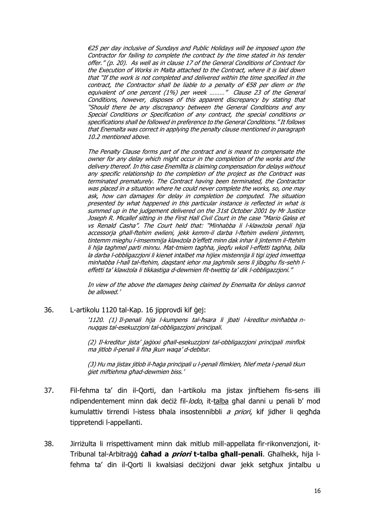€25 per day inclusive of Sundays and Public Holidays will be imposed upon the Contractor for failing to complete the contract by the time stated in his tender offer." (p. 20). As well as in clause 17 of the General Conditions of Contract for the Execution of Works in Malta attached to the Contract, where it is laid down that "If the work is not completed and delivered within the time specified in the contract, the Contractor shall be liable to a penalty of €58 per diem or the equivalent of one percent (1%) per week ........." Clause 23 of the General Conditions, however, disposes of this apparent discrepancy by stating that "Should there be any discrepancy between the General Conditions and any Special Conditions or Specification of any contract, the special conditions or specifications shall be followed in preference to the General Conditions." It follows that Enemalta was correct in applying the penalty clause mentioned in paragraph 10.2 mentioned above.

The Penalty Clause forms part of the contract and is meant to compensate the owner for any delay which might occur in the completion of the works and the delivery thereof. In this case Enemllta is claiming compensation for delays without any specific relationship to the completion of the project as the Contract was terminated prematurely. The Contract having been terminated, the Contractor was placed in a situation where he could never complete the works, so, one may ask, how can damages for delay in completion be computed. The situation presented by what happened in this particular instance is reflected in what is summed up in the judgement delivered on the 31st October 2001 by Mr Justice Joseph R. Micallef sitting in the First Hall Civil Court in the case "Mario Galea et vs Renald Casha". The Court held that: "Minhabba li l-klawżola penali hija accessorja ghall-ftehim ewlieni, jekk kemm-il darba l-ftehim ewlieni jintemm, tintemm mieghu l-imsemmija klawżola b'effett minn dak inhar li jintemm il-ftehim li hija taghmel parti minnu. Mat-tmiem taghha, jieqfu wkoll l-effetti taghha, billa la darba l-obbligazzjoni li kienet intalbet ma hijiex mistennija li tigi izjed imwettqa minhabba l-hall tal-ftehim, daqstant iehor ma jaghmilx sens li jibqghu fis-sehh leffetti ta' klawżola li tikkastiga d-dewmien fit-twettiq ta' dik l-obbligazzjoni."

In view of the above the damages being claimed by Enemalta for delays cannot be allowed.'

36. L-artikolu 1120 tal-Kap. 16 jipprovdi kif ġej:

'1120. (1) Il-penali hija l-kumpens tal-ħsara li jbati l-kreditur minħabba nnuqqas tal-esekuzzjoni tal-obbligazzjoni prinċipali.

(2) Il-kreditur jista' jaġixxi għall-esekuzzjoni tal-obbligazzjoni prinċipali minflok ma jitlob il-penali li fiha jkun waqa' d-debitur.

(3) Hu ma jistax jitlob il-ħaġa prinċipali u l-penali flimkien, ħlief meta l-penali tkun ġiet miftiehma għad-dewmien biss.'

- 37. Fil-fehma ta' din il-Qorti, dan l-artikolu ma jistax jinftiehem fis-sens illi ndipendentement minn dak deċiż fil-lodo, it-talba għal danni u penali b' mod kumulattiv tirrendi l-istess bħala insostennibbli a priori, kif jidher li qegħda tippretendi l-appellanti.
- 38. Jirriżulta li rrispettivament minn dak mitlub mill-appellata fir-rikonvenzjoni, it-Tribunal tal-Arbitraġġ **ċaħad a priori t-talba għall-penali**. Għalhekk, hija lfehma ta' din il-Qorti li kwalsiasi deċiżjoni dwar jekk setgħux jintalbu u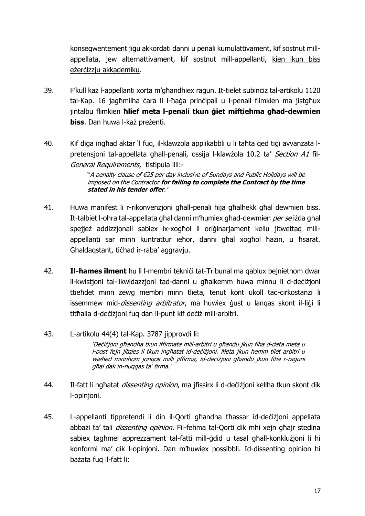konsegwentement jiġu akkordati danni u penali kumulattivament, kif sostnut millappellata, jew alternattivament, kif sostnut mill-appellanti, kien ikun biss eżerċizzju akkademiku.

- 39. F'kull każ l-appellanti xorta m'għandhiex raġun. It-tielet subinċiż tal-artikolu 1120 tal-Kap. 16 jagħmilha ċara li l-ħaġa prinċipali u l-penali flimkien ma jistgħux jintalbu flimkien **ħlief meta l-penali tkun ġiet miftiehma għad-dewmien biss**. Dan huwa l-każ preżenti.
- 40. Kif diġa ingħad aktar 'l fuq, il-klawżola applikabbli u li taħta qed tiġi avvanzata lpretensjoni tal-appellata għall-penali, ossija l-klawżola 10.2 ta' Section A1 fil-General Requirements, tistipula illi:-

"A penalty clause of €25 per day inclusive of Sundays and Public Holidays will be imposed on the Contractor **for failing to complete the Contract by the time stated in his tender offer**.'

- 41. Huwa manifest li r-rikonvenzjoni għall-penali hija għalhekk għal dewmien biss. It-talbiet l-oħra tal-appellata għal danni m'humiex għad-dewmien per se iżda għal spejież addizzionali sabiex ix-xogħol li oriġinarjament kellu jitwettag millappellanti sar minn kuntrattur ieħor, danni għal xogħol ħażin, u ħsarat. Għaldaqstant, tiċħad ir-raba' aggravju.
- 42. **Il-hames ilment** hu li l-membri teknici tat-Tribunal ma qablux bejniethom dwar il-kwistjoni tal-likwidazzjoni tad-danni u għalkemm huwa minnu li d-deċiżjoni ttieħdet minn żewġ membri minn tlieta, tenut kont ukoll taċ-ċirkostanzi li issemmew mid-*dissenting arbitrator*, ma huwiex gust u langas skont il-ligi li titħalla d-deċiżjoni fuq dan il-punt kif deċiż mill-arbitri.
- 43. L-artikolu 44(4) tal-Kap. 3787 jipprovdi li: 'Deċiżjoni għandha tkun iffirmata mill-arbitri u għandu jkun fiha d-data meta u l-post fejn jitqies li tkun ingħatat id-deċiżjoni. Meta jkun hemm tliet arbitri u wieħed minnhom jongos milli jiffirma, id-deċiżjoni għandu jkun fiha r-raġuni għal dak in-nuqqas ta' firma.'
- 44. Il-fatt li ngħatat *dissenting opinion*, ma jfissirx li d-deċiżjoni kellha tkun skont dik l-opinjoni.
- 45. L-appellanti tippretendi li din il-Qorti għandha tħassar id-deċiżjoni appellata abbażi ta' tali *dissenting opinion.* Fil-fehma tal-Qorti dik mhi xejn għajr stedina sabiex tagħmel apprezzament tal-fatti mill-ġdid u tasal għall-konklużjoni li hi konformi ma' dik l-opinjoni. Dan m'huwiex possibbli. Id-dissenting opinion hi bażata fuq il-fatt li: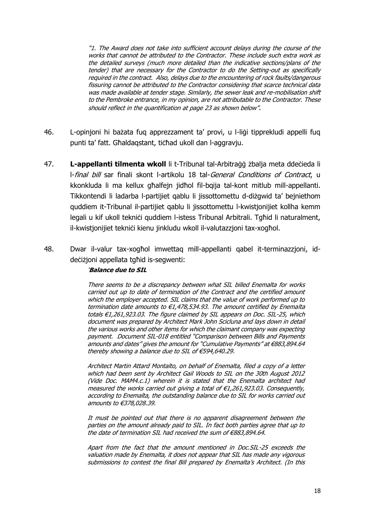"1. The Award does not take into sufficient account delays during the course of the works that cannot be attributed to the Contractor. These include such extra work as the detailed surveys (much more detailed than the indicative sections/plans of the tender) that are necessary for the Contractor to do the Setting-out as specifically required in the contract. Also, delays due to the encountering of rock faults/dangerous fissuring cannot be attributed to the Contractor considering that scarce technical data was made available at tender stage. Similarly, the sewer leak and re-mobilisation shift to the Pembroke entrance, in my opinion, are not attributable to the Contractor. These should reflect in the quantification at page 23 as shown below".

- 46. L-opinjoni hi bażata fuq apprezzament ta' provi, u l-liġi tipprekludi appelli fuq punti ta' fatt. Għaldaqstant, tiċħad ukoll dan l-aggravju.
- 47. **L-appellanti tilmenta wkoll** li t-Tribunal tal-Arbitraġġ żbalja meta ddeċieda li l-final bill sar finali skont l-artikolu 18 tal-General Conditions of Contract, u kkonkluda li ma kellux għalfejn jidħol fil-bqija tal-kont mitlub mill-appellanti. Tikkontendi li ladarba l-partijiet qablu li jissottomettu d-diżgwid ta' bejniethom quddiem it-Tribunal il-partijiet qablu li jissottomettu l-kwistjonijiet kollha kemm legali u kif ukoll teknići guddiem l-istess Tribunal Arbitrali. Tgħid li naturalment, il-kwistjonijiet teknići kienu jinkludu wkoll il-valutazzjoni tax-xogħol.
- 48. Dwar il-valur tax-xogħol imwettaq mill-appellanti qabel it-terminazzjoni, iddeċiżjoni appellata tgħid is-segwenti:

#### '**Balance due to SIL**

There seems to be a discrepancy between what SIL billed Enemalta for works carried out up to date of termination of the Contract and the certified amount which the employer accepted. SIL claims that the value of work performed up to termination date amounts to  $\epsilon$ 1,478,534.93. The amount certified by Enemalta totals €1,261,923.03. The figure claimed by SIL appears on Doc. SIL-25, which document was prepared by Architect Mark John Scicluna and lays down in detail the various works and other items for which the claimant company was expecting payment. Document SIL-018 entitled "Comparison between Bills and Payments amounts and dates" gives the amount for "Cumulative Payments" at €883,894.64 thereby showing a balance due to SIL of €594,640.29.

Architect Martin Attard Montalto, on behalf of Enemalta, filed a copy of a letter which had been sent by Architect Gail Woods to SIL on the 30th August 2012 (Vide Doc. MAM4.c.1) wherein it is stated that the Enemalta architect had measured the works carried out giving a total of €1,261,923.03. Consequently, according to Enemalta, the outstanding balance due to SIL for works carried out amounts to €378,028.39.

It must be pointed out that there is no apparent disagreement between the parties on the amount already paid to SIL. In fact both parties agree that up to the date of termination SIL had received the sum of €883,894.64.

Apart from the fact that the amount mentioned in Doc.SIL-25 exceeds the valuation made by Enemalta, it does not appear that SIL has made any vigorous submissions to contest the final Bill prepared by Enemalta's Architect. (In this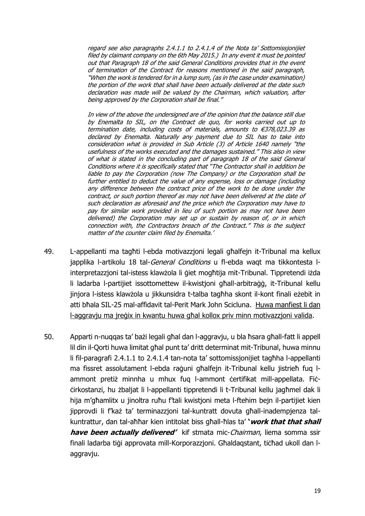regard see also paragraphs 2.4.1.1 to 2.4.1.4 of the Nota ta' Sottomissjonijiet filed by claimant company on the 6th May 2015.) In any event it must be pointed out that Paragraph 18 of the said General Conditions provides that in the event of termination of the Contract for reasons mentioned in the said paragraph, "When the work is tendered for in a lump sum, (as in the case under examination) the portion of the work that shall have been actually delivered at the date such declaration was made will be valued by the Chairman, which valuation, after being approved by the Corporation shall be final."

In view of the above the undersigned are of the opinion that the balance still due by Enemalta to SIL, on the Contract de quo, for works carried out up to termination date, including costs of materials, amounts to €378,023.39 as declared by Enemalta. Naturally any payment due to SIL has to take into consideration what is provided in Sub Article (3) of Article 1640 namely "the usefulness of the works executed and the damages sustained." This also in view of what is stated in the concluding part of paragraph 18 of the said General Conditions where it is specifically stated that "The Contractor shall in addition be liable to pay the Corporation (now The Company) or the Corporation shall be further entitled to deduct the value of any expense, loss or damage (including any difference between the contract price of the work to be done under the contract, or such portion thereof as may not have been delivered at the date of such declaration as aforesaid and the price which the Corporation may have to pay for similar work provided in lieu of such portion as may not have been delivered) the Corporation may set up or sustain by reason of, or in which connection with, the Contractors breach of the Contract." This is the subject matter of the counter claim filed by Enemalta.'

- 49. L-appellanti ma tagħti l-ebda motivazzjoni legali għalfejn it-Tribunal ma kellux japplika l-artikolu 18 tal-General Conditions u fl-ebda waqt ma tikkontesta linterpretazzjoni tal-istess klawżola li ġiet mogħtija mit-Tribunal. Tippretendi iżda li ladarba l-partijiet issottomettew il-kwistjoni għall-arbitraġġ, it-Tribunal kellu jinjora l-istess klawżola u jikkunsidra t-talba tagħha skont il-kont finali eżebit in atti bħala SIL-25 mal-affidavit tal-Perit Mark John Scicluna. Huwa manfiest li dan l-aggravju ma jreġix in kwantu huwa għal kollox priv minn motivazzjoni valida.
- 50. Apparti n-nuqqas ta' bażi legali għal dan l-aggravju, u bla ħsara għall-fatt li appell lil din il-Qorti huwa limitat għal punt ta' dritt determinat mit-Tribunal, huwa minnu li fil-paragrafi 2.4.1.1 to 2.4.1.4 tan-nota ta' sottomissjonijiet tagħha l-appellanti ma fissret assolutament l-ebda raġuni għalfejn it-Tribunal kellu jistrieħ fuq lammont pretiż minnha u mhux fuq l-ammont ċertifikat mill-appellata. Fiċċirkostanzi, hu żbaljat li l-appellanti tippretendi li t-Tribunal kellu jagħmel dak li hija m'għamlitx u jinoltra ruħu f'tali kwistjoni meta l-ftehim bejn il-partijiet kien jipprovdi li f'każ ta' terminazzjoni tal-kuntratt dovuta għall-inadempjenza talkuntrattur, dan tal-aħħar kien intitolat biss għall-ħlas ta' **'work that that shall have been actually delivered'** kif stmata mic-Chairman, liema somma ssir finali ladarba tiġi approvata mill-Korporazzjoni. Għaldaqstant, tiċħad ukoll dan laggravju.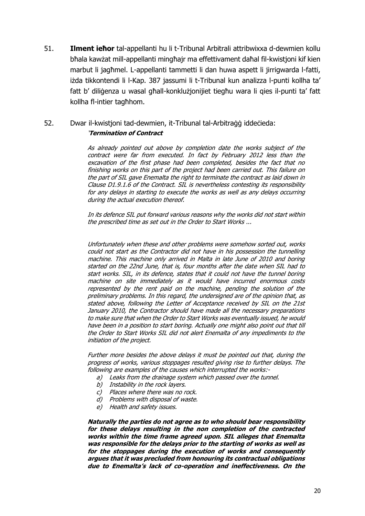51. **Ilment ieħor** tal-appellanti hu li t-Tribunal Arbitrali attribwixxa d-dewmien kollu bħala kawżat mill-appellanti mingħajr ma effettivament daħal fil-kwistjoni kif kien marbut li jagħmel. L-appellanti tammetti li dan huwa aspett li jirrigwarda l-fatti, iżda tikkontendi li l-Kap. 387 jassumi li t-Tribunal kun analizza l-punti kollha ta' fatt b' diliġenza u wasal għall-konklużjonijiet tiegħu wara li qies il-punti ta' fatt kollha fl-intier tagħhom.

## 52. Dwar il-kwistjoni tad-dewmien, it-Tribunal tal-Arbitraġġ iddeċieda: '**Termination of Contract**

As already pointed out above by completion date the works subject of the contract were far from executed. In fact by February 2012 less than the excavation of the first phase had been completed, besides the fact that no finishing works on this part of the project had been carried out. This failure on the part of SIL gave Enemalta the right to terminate the contract as laid down in Clause D1.9.1.6 of the Contract. SIL is nevertheless contesting its responsibility for any delays in starting to execute the works as well as any delays occurring during the actual execution thereof.

In its defence SIL put forward various reasons why the works did not start within the prescribed time as set out in the Order to Start Works ...

Unfortunately when these and other problems were somehow sorted out, works could not start as the Contractor did not have in his possession the tunnelling machine. This machine only arrived in Malta in late June of 2010 and boring started on the 22nd June, that is, four months after the date when SIL had to start works. SIL, in its defence, states that it could not have the tunnel boring machine on site immediately as it would have incurred enormous costs represented by the rent paid on the machine, pending the solution of the preliminary problems. In this regard, the undersigned are of the opinion that, as stated above, following the Letter of Acceptance received by SIL on the 21st January 2010, the Contractor should have made all the necessary preparations to make sure that when the Order to Start Works was eventually issued, he would have been in a position to start boring. Actually one might also point out that till the Order to Start Works SIL did not alert Enemalta of any impediments to the initiation of the project.

Further more besides the above delays it must be pointed out that, during the progress of works, various stoppages resulted giving rise to further delays. The following are examples of the causes which interrupted the works:-

- a) Leaks from the drainage system which passed over the tunnel.
- b) Instability in the rock layers.
- c) Places where there was no rock.
- d) Problems with disposal of waste.
- e) Health and safety issues.

**Naturally the parties do not agree as to who should bear responsibility for these delays resulting in the non completion of the contracted works within the time frame agreed upon. SIL alleges that Enemalta was responsible for the delays prior to the starting of works as well as for the stoppages during the execution of works and consequently argues that it was precluded from honouring its contractual obligations due to Enemalta's lack of co-operation and ineffectiveness. On the**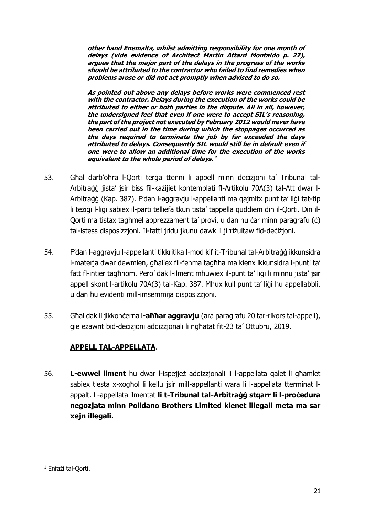**other hand Enemalta, whilst admitting responsibility for one month of delays (vide evidence of Architect Martin Attard Montaldo p. 27), argues that the major part of the delays in the progress of the works should be attributed to the contractor who failed to find remedies when problems arose or did not act promptly when advised to do so.**

**As pointed out above any delays before works were commenced rest with the contractor. Delays during the execution of the works could be attributed to either or both parties in the dispute. All in all, however, the undersigned feel that even if one were to accept SIL's reasoning, the part of the project not executed by February 2012 would never have been carried out in the time during which the stoppages occurred as the days required to terminate the job by far exceeded the days attributed to delays. Consequently SIL would still be in default even if one were to allow an additional time for the execution of the works equivalent to the whole period of delays.**' 1

- 53. Għal darb'oħra l-Qorti terġa ttenni li appell minn deċiżjoni ta' Tribunal tal-Arbitraġġ jista' jsir biss fil-każijiet kontemplati fl-Artikolu 70A(3) tal-Att dwar l-Arbitraġġ (Kap. 387). F'dan l-aggravju l-appellanti ma qajmitx punt ta' liġi tat-tip li teżiġi l-liġi sabiex il-parti telliefa tkun tista' tappella quddiem din il-Qorti. Din il-Qorti ma tistax tagħmel apprezzament ta' provi, u dan hu ċar minn paragrafu (ċ) tal-istess disposizzjoni. Il-fatti jridu jkunu dawk li jirriżultaw fid-deċiżjoni.
- 54. F'dan l-aggravju l-appellanti tikkritika l-mod kif it-Tribunal tal-Arbitraġġ ikkunsidra l-materja dwar dewmien, għaliex fil-fehma tagħha ma kienx ikkunsidra l-punti ta' fatt fl-intier tagħhom. Pero' dak l-ilment mhuwiex il-punt ta' liġi li minnu jista' jsir appell skont l-artikolu 70A(3) tal-Kap. 387. Mhux kull punt ta' liġi hu appellabbli, u dan hu evidenti mill-imsemmija disposizzjoni.
- 55. Għal dak li jikkonċerna l**-aħħar aggravju** (ara paragrafu 20 tar-rikors tal-appell), ġie eżawrit bid-deċiżjoni addizzjonali li ngħatat fit-23 ta' Ottubru, 2019.

## **APPELL TAL-APPELLATA**.

56. **L-ewwel ilment** hu dwar l-ispejjeż addizzjonali li l-appellata qalet li għamlet sabiex tlesta x-xogħol li kellu jsir mill-appellanti wara li l-appellata tterminat lappalt. L-appellata ilmentat **li t-Tribunal tal-Arbitraġġ stqarr li l-proċedura negozjata minn Polidano Brothers Limited kienet illegali meta ma sar xejn illegali.**

<sup>1</sup> <sup>1</sup> Enfażi tal-Qorti.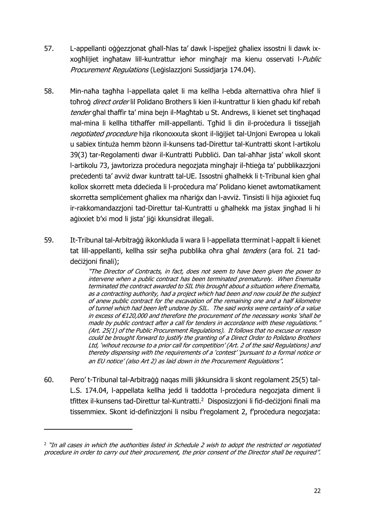- 57. L-appellanti oġġezzjonat għall-ħlas ta' dawk l-ispejjeż għaliex issostni li dawk ixxogħlijiet ingħataw lill-kuntrattur ieħor mingħajr ma kienu osservati l-Public Procurement Regulations (Leġislazzjoni Sussidjarja 174.04).
- 58. Min-naħa tagħha l-appellata qalet li ma kellha l-ebda alternattiva oħra ħlief li toħroġ *direct order* lil Polidano Brothers li kien il-kuntrattur li kien għadu kif rebaħ tender għal tħaffir ta' mina bein il-Magħtab u St. Andrews, li kienet set tingħagad mal-mina li kellha titħaffer mill-appellanti. Tgħid li din il-proċedura li tissejjaħ negotiated procedure hija rikonoxxuta skont il-liġijiet tal-Unjoni Ewropea u lokali u sabiex tintuża hemm bżonn il-kunsens tad-Direttur tal-Kuntratti skont l-artikolu 39(3) tar-Regolamenti dwar il-Kuntratti Pubbliċi. Dan tal-aħħar jista' wkoll skont l-artikolu 73, jawtorizza proċedura negozjata mingħajr il-ħtieġa ta' pubblikazzjoni preċedenti ta' avviż dwar kuntratt tal-UE. Issostni għalhekk li t-Tribunal kien għal kollox skorrett meta ddeċieda li l-proċedura ma' Polidano kienet awtomatikament skorretta sempliċement għaliex ma nħariġx dan l-avviż. Tinsisti li hija aġixxiet fug ir-rakkomandazzjoni tad-Direttur tal-Kuntratti u għalhekk ma jistax jingħad li hi aġixxiet b'xi mod li jista' jiġi kkunsidrat illegali.
- 59. It-Tribunal tal-Arbitraġġ ikkonkluda li wara li l-appellata tterminat l-appalt li kienet tat lill-appellanti, kellha ssir sejħa pubblika oħra għal tenders (ara fol. 21 taddeċiżioni finali);

"The Director of Contracts, in fact, does not seem to have been given the power to intervene when a public contract has been terminated prematurely. When Enemalta terminated the contract awarded to SIL this brought about a situation where Enemalta, as a contracting authority, had a project which had been and now could be the subject of anew public contract for the excavation of the remaining one and a half kilometre of tunnel which had been left undone by SIL. The said works were certainly of a value in excess of €120,000 and therefore the procurement of the necessary works 'shall be made by public contract after a call for tenders in accordance with these regulations." (Art. 25(1) of the Public Procurement Regulations). It follows that no excuse or reason could be brought forward to justify the granting of a Direct Order to Polidano Brothers Ltd, 'wihout recourse to a prior call for competition' (Art. 2 of the said Regulations) and thereby dispensing with the requirements of a 'contest' 'pursuant to a formal notice or an EU notice' (also Art 2) as laid down in the Procurement Regulations".

60. Pero' t-Tribunal tal-Arbitraġġ naqas milli jikkunsidra li skont regolament 25(5) tal-L.S. 174.04, l-appellata kellha jedd li taddotta l-procedura negozjata diment li tfittex il-kunsens tad-Direttur tal-Kuntratti.<sup>2</sup> Disposizzjoni li fid-deċiżjoni finali ma tissemmiex. Skont id-definizzjoni li nsibu f'regolament 2, f'procedura negozjata:

 $\overline{a}$ 

<sup>&</sup>lt;sup>2</sup> "In all cases in which the authorities listed in Schedule 2 wish to adopt the restricted or negotiated procedure in order to carry out their procurement, the prior consent of the Director shall be required".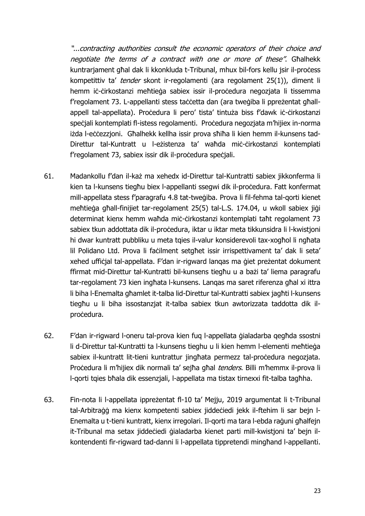"...contracting authorities consult the economic operators of their choice and negotiate the terms of a contract with one or more of these". Għalhekk kuntrarjament għal dak li kkonkluda t-Tribunal, mhux bil-fors kellu jsir il-proċess kompetittiv ta' tender skont ir-regolamenti (ara regolament 25(1)), diment li hemm iċ-cirkostanzi meħtieġa sabiex issir il-procedura negoziata li tissemma f'regolament 73. L-appellanti stess taċċetta dan (ara tweġiba li ppreżentat għallappell tal-appellata). Proċedura li pero' tista' tintuża biss f'dawk iċ-ċirkostanzi spečiali kontemplati fl-istess regolamenti. Pročedura negozjata m'hijiex in-norma iżda l-eċċezzjoni. Għalhekk kellha issir prova sħiħa li kien hemm il-kunsens tad-Direttur tal-Kuntratt u l-eżistenza ta' waħda miċ-ċirkostanzi kontemplati f'regolament 73, sabiex issir dik il-procedura specjali.

- 61. Madankollu f'dan il-każ ma xehedx id-Direttur tal-Kuntratti sabiex jikkonferma li kien ta l-kunsens tiegħu biex l-appellanti ssegwi dik il-proċedura. Fatt konfermat mill-appellata stess f'paragrafu 4.8 tat-tweġiba. Prova li fil-fehma tal-qorti kienet meħtieġa għall-finijiet tar-regolament 25(5) tal-L.S. 174.04, u wkoll sabiex jiġi determinat kienx hemm waħda miċ-ċirkostanzi kontemplati taħt regolament 73 sabiex tkun addottata dik il-procedura, iktar u iktar meta tikkunsidra li l-kwistjoni hi dwar kuntratt pubbliku u meta tqies il-valur konsiderevoli tax-xogħol li ngħata lil Polidano Ltd. Prova li facilment setghet issir irrispettivament ta' dak li seta' xehed uffiċjal tal-appellata. F'dan ir-rigward lanqas ma ġiet preżentat dokument ffirmat mid-Direttur tal-Kuntratti bil-kunsens tiegħu u a bażi ta' liema paragrafu tar-regolament 73 kien ingħata l-kunsens. Lanqas ma saret riferenza għal xi ittra li biha l-Enemalta għamlet it-talba lid-Direttur tal-Kuntratti sabiex jagħti l-kunsens tiegħu u li biha issostanzjat it-talba sabiex tkun awtorizzata taddotta dik ilproċedura.
- 62. F'dan ir-rigward l-oneru tal-prova kien fuq l-appellata ġialadarba qegħda ssostni li d-Direttur tal-Kuntratti ta l-kunsens tieghu u li kien hemm l-elementi meħtieġa sabiex il-kuntratt lit-tieni kuntrattur jingħata permezz tal-proċedura negozjata. Proċedura li m'hijiex dik normali ta' sejħa għal tenders. Billi m'hemmx il-prova li l-qorti tqies bħala dik essenzjali, l-appellata ma tistax tirnexxi fit-talba tagħha.
- 63. Fin-nota li l-appellata ippreżentat fl-10 ta' Mejju, 2019 argumentat li t-Tribunal tal-Arbitraġġ ma kienx kompetenti sabiex jiddeċiedi jekk il-ftehim li sar bejn l-Enemalta u t-tieni kuntratt, kienx irregolari. Il-qorti ma tara l-ebda raġuni għalfejn it-Tribunal ma setax jiddeċiedi ġialadarba kienet parti mill-kwistjoni ta' bejn ilkontendenti fir-rigward tad-danni li l-appellata tippretendi mingħand l-appellanti.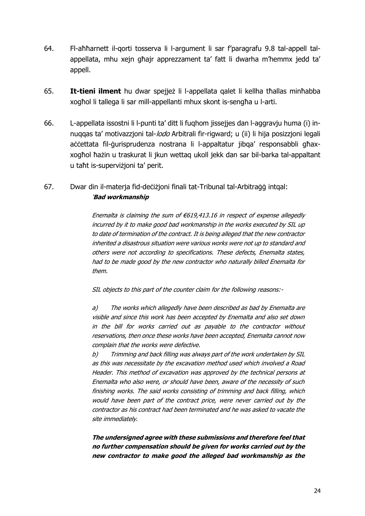- 64. Fl-aħħarnett il-qorti tosserva li l-argument li sar f'paragrafu 9.8 tal-appell talappellata, mhu xejn għajr apprezzament ta' fatt li dwarha m'hemmx jedd ta' appell.
- 65. **It-tieni ilment** hu dwar spejjeż li l-appellata qalet li kellha tħallas minħabba xogħol li tallega li sar mill-appellanti mhux skont is-sengħa u l-arti.
- 66. L-appellata issostni li l-punti ta' ditt li fuqhom jissejjes dan l-aggravju huma (i) innuqqas ta' motivazzjoni tal-lodo Arbitrali fir-rigward; u (ii) li hija posizzjoni legali aċċettata fil-ġurisprudenza nostrana li l-appaltatur jibga' responsabbli għaxxogħol ħażin u traskurat li jkun wettaq ukoll jekk dan sar bil-barka tal-appaltant u taħt is-superviżjoni ta' perit.
- 67. Dwar din il-materja fid-deċiżjoni finali tat-Tribunal tal-Arbitraġġ intqal: '**Bad workmanship**

Enemalta is claiming the sum of  $€619,413.16$  in respect of expense allegedly incurred by it to make good bad workmanship in the works executed by SIL up to date of termination of the contract. It is being alleged that the new contractor inherited a disastrous situation were various works were not up to standard and others were not according to specifications. These defects, Enemalta states, had to be made good by the new contractor who naturally billed Enemalta for them.

SIL objects to this part of the counter claim for the following reasons:-

a) The works which allegedly have been described as bad by Enemalta are visible and since this work has been accepted by Enemalta and also set down in the bill for works carried out as payable to the contractor without reservations, then once these works have been accepted, Enemalta cannot now complain that the works were defective.

b) Trimming and back filling was always part of the work undertaken by SIL as this was necessitate by the excavation method used which involved a Road Header. This method of excavation was approved by the technical persons at Enemalta who also were, or should have been, aware of the necessity of such finishing works. The said works consisting of trimming and back filling, which would have been part of the contract price, were never carried out by the contractor as his contract had been terminated and he was asked to vacate the site immediately.

**The undersigned agree with these submissions and therefore feel that no further compensation should be given for works carried out by the new contractor to make good the alleged bad workmanship as the**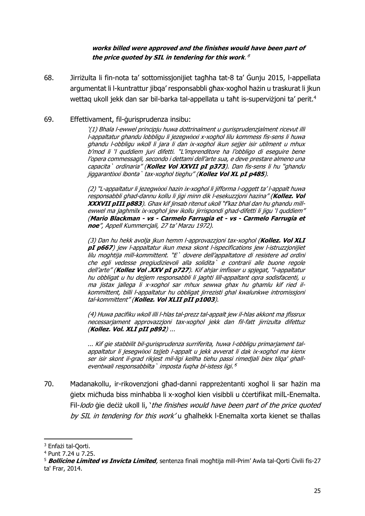### **works billed were approved and the finishes would have been part of the price quoted by SIL in tendering for this work**.' 3

68. Jirriżulta li fin-nota ta' sottomissjonijiet tagħha tat-8 ta' Ġunju 2015, l-appellata argumentat li l-kuntrattur jibqa' responsabbli għax-xogħol ħażin u traskurat li jkun wettag ukoll jekk dan sar bil-barka tal-appellata u taħt is-supervizioni ta' perit.<sup>4</sup>

### 69. Effettivament, fil-ġurisprudenza insibu:

'(1) Bhala l-ewwel principju huwa dottrinalment u gurisprudenzjalment ricevut illi l-appaltatur ghandu lobbligu li jezegwixxi x-xoghol lilu kommess fis-sens li huwa ghandu l-obbligu wkoll li jara li dan ix-xoghol ikun sejjer isir utilment u mhux b'mod li 'l quddiem juri difetti. "L'imprenditore ha l'obbligo di eseguire bene l'opera commessagli, secondo i dettami dell'arte sua, e deve prestare almeno una capacita` ordinaria" (**Kollez Vol XXVII pI p373**). Dan fis-sens li hu "ghandu jiggarantixxi lbonta` tax-xoghol tieghu" (**Kollez Vol XL pI p485**).

(2) "L-appaltatur li jezegwixxi hazin ix-xoghol li jifforma l-oggett ta' l-appalt huwa responsabbli ghad-dannu kollu li jigi minn dik l-esekuzzjoni hazina" (**Kollez. Vol XXXVII pIII p883**). Ghax kif jinsab ritenut ukoll "f'kaz bhal dan hu ghandu millewwel ma jaghmilx ix-xoghol jew ikollu jirrispondi ghad-difetti li jigu 'l quddiem" (**Mario Blackman - vs - Carmelo Farrugia et - vs - Carmelo Farrugia et noe**", Appell Kummercjali, 27 ta' Marzu 1972).

(3) Dan hu hekk avolja jkun hemm l-approvazzjoni tax-xoghol (**Kollez. Vol XLI pI p667**) jew l-appaltatur ikun mexa skont l-ispecifications jew l-istruzzjonijiet lilu moghtija mill-kommittent. "E` dovere dell'appaltatore di resistere ad ordini che egli vedesse pregiudizievoli alla solidita` e contrarii alle buone regole dell'arte" (**Kollez Vol .XXV pI p727**). Kif ahjar imfisser u spjegat, "l-appaltatur hu obbligat u hu dejjem responsabbli li jaghti lill-appaltant opra sodisfacenti, u ma jistax jallega li x-xoghol sar mhux sewwa ghax hu ghamlu kif ried ilkommittent, billi l-appaltatur hu obbligat jirrezisti ghal kwalunkwe intromissjoni tal-kommittent" (**Kollez. Vol XLII pII p1003**).

(4) Huwa pacifiku wkoll illi l-hlas tal-prezz tal-appalt jew il-hlas akkont ma jfissrux necessarjament approvazzjoni tax-xoghol jekk dan fil-fatt jirrizulta difettuz (**Kollez. Vol. XLI pII p892**) ...

... Kif gie stabbilit bil-gurisprudenza surriferita, huwa l-obbligu primarjament talappaltatur li jesegwixxi tajjeb l-appalt u jekk avverat li dak ix-xoghol ma kienx ser isir skont il-grad rikjest mil-ligi kellha tiehu passi rimedjali biex tilqa' ghalleventwali responsabbilta` imposta fuqha bl-istess ligi.' 5

70. Madanakollu, ir-rikovenzjoni għad-danni rappreżentanti xogħol li sar ħażin ma ġietx miċħuda biss minħabba li x-xogħol kien visibbli u ċċertifikat milL-Enemalta. Fil-lodo gie deċiż ukoll li, 'the finishes would have been part of the price quoted by SIL in tendering for this work' u għalhekk l-Enemalta xorta kienet se tħallas

**.** 

<sup>3</sup> Enfażi tal-Qorti.

<sup>4</sup> Punt 7.24 u 7.25.

<sup>5</sup> **Bollicine Limited vs Invicta Limited**, sentenza finali mogħtija mill-Prim' Awla tal-Qorti Ċivili fis-27 ta' Frar, 2014.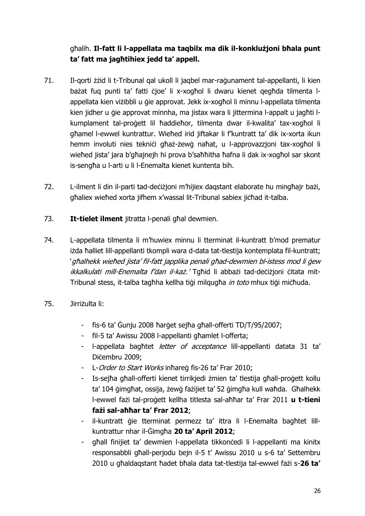għalih. **Il-fatt li l-appellata ma taqbilx ma dik il-konklużjoni bħala punt ta' fatt ma jagħtihiex jedd ta' appell.**

- 71. Il-qorti żżid li t-Tribunal qal ukoll li jaqbel mar-raġunament tal-appellanti, li kien bażat fuq punti ta' fatti ċjoe' li x-xogħol li dwaru kienet qegħda tilmenta lappellata kien viżibbli u ġie approvat. Jekk ix-xogħol li minnu l-appellata tilmenta kien jidher u ģie approvat minnha, ma jistax wara li jittermina l-appalt u jagħti lkumplament tal-proġett lil ħaddieħor, tilmenta dwar il-kwalita' tax-xogħol li għamel l-ewwel kuntrattur. Wieħed irid jiftakar li f'kuntratt ta' dik ix-xorta ikun hemm involuti nies teknici għaż-żewġ naħat, u l-approvazzjoni tax-xogħol li wieħed jista' jara b'għajnejh hi prova b'saħħitha ħafna li dak ix-xogħol sar skont is-sengħa u l-arti u li l-Enemalta kienet kuntenta bih.
- 72. L-ilment li din il-parti tad-deċiżjoni m'hijiex daqstant elaborate hu mingħajr bażi, ghaliex wiehed xorta jifhem x'wassal lit-Tribunal sabiex jichad it-talba.
- 73. **It-tielet ilment** jitratta l-penali għal dewmien.
- 74. L-appellata tilmenta li m'huwiex minnu li tterminat il-kuntratt b'mod prematur iżda ħalliet lill-appellanti tkompli wara d-data tat-tlestija kontemplata fil-kuntratt; 'għalhekk wieħed jista' fil-fatt japplika penali għad-dewmien bl-istess mod li ġew ikkalkulati mill-Enemalta f'dan il-każ.' Tgħid li abbażi tad-deċiżioni ċitata mit-Tribunal stess, it-talba tagħha kellha tiġi milqugħa in toto mhux tiġi miċħuda.
- 75. Jirriżulta li:
	- fis-6 ta' Ġunju 2008 ħarġet sejħa għall-offerti TD/T/95/2007;
	- fil-5 ta' Awissu 2008 l-appellanti għamlet l-offerta;
	- I-appellata baghtet *letter of acceptance* lill-appellanti datata 31 ta' Diċembru 2009;
	- L-Order to Start Works inhareg fis-26 ta' Frar 2010;
	- Is-sejħa għall-offerti kienet tirrikjedi żmien ta' tlestija għall-proġett kollu ta' 104 ġimgħat, ossija, żewġ fażijiet ta' 52 ġimgħa kull waħda. Għalhekk l-ewwel fażi tal-proġett kellha titlesta sal-aħħar ta' Frar 2011 **u t-tieni fażi sal-aħħar ta' Frar 2012**;
	- il-kuntratt ġie tterminat permezz ta' ittra li l-Enemalta bagħtet lillkuntrattur nhar il-Ġimgħa **20 ta' April 2012**;
	- ghall finijiet ta' dewmien l-appellata tikkonċedi li l-appellanti ma kinitx responsabbli għall-perjodu bejn il-5 t' Awissu 2010 u s-6 ta' Settembru 2010 u għaldaqstant ħadet bħala data tat-tlestija tal-ewwel fażi s-**26 ta'**